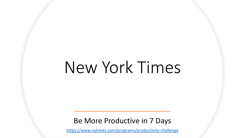# New York Times

Be More Productive in 7 Days

<https://www.nytimes.com/programs/productivity-challenge>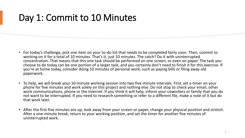### Day 1: Commit to 10 Minutes

- For today's challenge, pick one item on your to-do list that needs to be completed fairly soon. Then, commit to working on it for a total of 10 minutes. That's it, just 10 minutes. The catch? Do it with uninterrupted concentration. That means that this one task should be performed on one screen, or even on paper. The task you choose to do today can be one portion of a larger task, and you certainly don't need to finish it for this exercise. If you're at home today, consider doing 10 minutes of personal work, such as paying bills or filing away old paperwork.
- To help, we will break your 10-minute working session into two five-minute intervals. First, set a timer on your phone for five minutes and work solely on this project and nothing else. Do not stop to check your email, other work communications, phone or the internet. If you think it will help, inform your coworkers or family that you do not want to be interrupted. If you need to research something or refer to a different file, make a note of it but do that work later.
- After the first five minutes are up, look away from your screen or paper, change your physical position and stretch. After a one-minute break, return to your working position, and set the timer for another five minutes of uninterrupted work.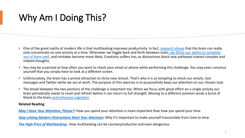- One of the great myths of modern life is that multitasking improves productivity. In fact, [research shows](https://www.apa.org/research/action/multitask) that the brain can really only concentrate on one activity at a time. Whenever we toggle back and forth between tasks, we dilute our ability to complete [any of them well, and mistakes become more likely. Creativity suffers too, as distractions block new pathways toward complex a](https://brainworldmagazine.com/the-myth-of-multitasking/)nd related thoughts.
- You may be surprised at how often you want to check your email or phone while performing this challenge. You may even convince yourself that you simply *have* to look at a different screen.
- Unfortunately, the brain has a primal attraction to shiny new stimuli. That's why it is so tempting to check our emails, text messages and Twitter while we are at work. The purpose of this exercise is to purposefully keep our attention on our chosen task.
- The break between the two portions of the challenge is important too. When we focus with great effort on a single activity our brain periodically needs to reset and refresh before it can return to full strength. Moving to a different position sends a burst of blood to the brain [and enhances cognition.](https://www.psychologytoday.com/us/blog/engineering-cognitive-experience/201911/cerebral-blood-flow-is-crucial-cognitive-performance)

### **Related Reading**

*[May I Have Your Attention, Please?](https://www.nytimes.com/2019/03/25/smarter-living/time-management-productivity.html):* How you spend your attention is more important than how you spend your time.

*[Stop Letting Modern Distractions Steal Your Attention](https://www.nytimes.com/2019/03/26/smarter-living/stop-letting-modern-distractions-steal-your-attention.html):* Why it's important to make yourself inaccessible from time to time.

*[The High Price of Multitasking](https://www.nytimes.com/2019/07/14/opinion/multitasking-brain.html):* How multitasking can be counterproductive and even dangerous.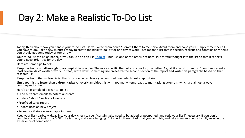### Day 2: Make a Realistic To-Do List

Today, think about how you handle your to-do lists. Do you write them down? Commit them to memory? Avoid them and hope you'll simply remember all you have to do? Take a few minutes today to create the ideal to-do list for one day of work. That means a list that is specific, realistic and contains only items you should get done today or tomorrow.

Your to-do list can be on paper, or you can use an app like [Todoist](https://todoist.com/) – but use one or the other, not both. Put careful thought into the list so that it reflects your biggest priorities for the day.

Here are some tips to help:

**Keep the to-dos small enough to accomplish in one day:** The more specific the tasks on your list, the better. A goal like "work on report" could represent at least several days' worth of work. Instead, write down something like "research the second section of the report and write five paragraphs based on that research."44

**Keep the to-do items clear:** A list that's too vague can leave you confused over which next step to take.

**Limit your list to fewer than a dozen tasks:** An overly ambitious list with too many items leads to multitasking attempts, which are almost always counterproductive.

Here's an example of a clear to-do list:

- •Send out three emails to potential clients
- •Update "about" section of website
- •Proofread sales report
- •Update boss on new project
- •*Personal* Make eye exam appointment.

Keep your list nearby. Midway into your day, check to see if certain tasks need to be added or postponed, and redo your list if necessary. If you don't complete all your tasks, that's OK! Life is messy and ever-changing. But check off each task that you do finish, and take a few moments to fully revel in the experience of completion.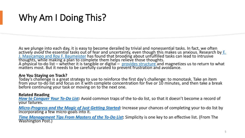As we plunge into each day, it is easy to become derailed by trivial and nonessential tasks. In fact, we often actively *avoid* [the essential tasks out of fear and uncertainty, even though this makes us anxious. Research by](http://users.wfu.edu/masicaej/MasicampoBaumeister2011JPSP.pdf) E. J. Masicampo and Roy F. Baumeister has found that brooding about unfulfilled tasks can lead to intrusive thoughts, while making a plan to complete them helps relieve those thoughts. A physical to-do list – whether it is tangible or digital – *[provides structure](https://www.theguardian.com/lifeandstyle/2017/may/10/the-psychology-of-the-to-do-list-why-your-brain-loves-ordered-tasks)* and magnetizes us to return to what matters most. But it needs to be carefully curated to prevent frustration and avoidance.

### **Are You Staying on Track?**

Today's challenge is a great strategy to use to reinforce the first day's challenge: to monotask. Take an item from your to-do list and focus on it with complete concentration for five or 10 minutes, and then take a break before continuing your task or moving on to the next one.

### **Related Reading**

*[How to Conquer Your To-Do List](https://www.nytimes.com/2013/07/14/jobs/how-to-conquer-your-to-do-list.html):* Avoid common traps of the to-do list, so that it doesn't become a record of your failures.

*[Micro-Progress and the Magic of Just Getting Started:](https://www.nytimes.com/2018/01/22/smarter-living/micro-progress.html)* Increase your chances of completing your to-do list by incorporating a few micro-goals into it.

*[Time Management Tips From Masters of the To-Do List](https://www.washingtonpost.com/lifestyle/home/time-management-tips-from-masters-of-the-to-do-list/2019/09/24/154dc424-d977-11e9-bfb1-849887369476_story.html)***:** Simplicity is one key to an effective list. (From The Washington Post.)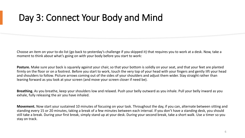### Day 3: Connect Your Body and Mind

Choose an item on your to-do list (go back to yesterday's challenge if you skipped it) that requires you to work at a desk. Now, take a moment to think about what's going on with your body before you start to work:

**Posture.** Make sure your back is squarely against your chair, so that your bottom is solidly on your seat, and that your feet are planted firmly on the floor or on a footrest. Before you start to work, touch the very top of your head with your fingers and gently lift your head and shoulders to follow. Picture arrows coming out of the sides of your shoulders and adjust them wider. Stay straight rather than leaning forward as you look at your screen (and move your screen closer if need be).

**Breathing.** As you breathe, keep your shoulders low and relaxed. Push your belly outward as you inhale. Pull your belly inward as you exhale, fully releasing the air you have inhaled.

**Movement.** Now start your sustained 10 minutes of focusing on your task. Throughout the day, if you can, alternate between sitting and standing every 15 or 20 minutes, taking a break of a few minutes between each interval. If you don't have a standing desk, you should still take a break. During your first break, simply stand up at your desk. During your second break, take a short walk. Use a timer so you stay on track.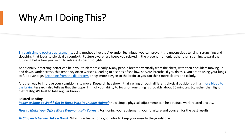[Through simple posture adjustments](https://www.nyposturepolice.com/posturechallenge), using methods like the Alexander Technique, you can prevent the unconscious tensing, scrunching and slouching that leads to physical discomfort. Posture awareness keeps you relaxed in the present moment, rather than straining toward the future. It helps free your mind to release its best thoughts.

Additionally, breathing better can help you think more clearly. Many people breathe vertically from the chest, with their shoulders moving up and down. Under stress, this tendency often worsens, leading to a series of shallow, nervous breaths. If you do this, you aren't using your lungs to full advantage. [Breathing from the diaphragm](https://www.youtube.com/watch?v=ysYO69Oxdhc) brings more oxygen to the brain so you can think more clearly and calmly.

Another way to improve your cognition is to move. Research has shown that cycling through different physical positions brings more blood to [the brain. Research also tells us that the upper limit of your ability to focus on one thing is probably about 20 minutes. So, rather than fight](https://www.psychologytoday.com/us/blog/engineering-cognitive-experience/201911/cerebral-blood-flow-is-crucial-cognitive-performance)  that reality, it's best to take regular breaks.

#### **Related Reading**

*[Ready to Snap at Work? Get in Touch With Your Inner Animal:](https://www.nytimes.com/2016/08/07/business/ready-to-snap-at-work-get-in-touch-with-your-inner-animal.html)* How simple physical adjustments can help reduce work-related anxiety.

*[How to Make Your Office More Ergonomically Correct](https://www.nytimes.com/2019/01/30/smarter-living/how-to-office-more-ergonomic-tips.html)***:** Positioning your equipment, your furniture and yourself for the best results.

*[To Stay on Schedule, Take a Break](https://www.nytimes.com/2012/06/17/jobs/take-breaks-regularly-to-stay-on-schedule-workstation.html)***:** Why it's actually not a good idea to keep your nose to the grindstone.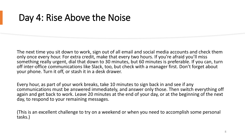### Day 4: Rise Above the Noise

The next time you sit down to work, sign out of all email and social media accounts and check them only once every hour. For extra credit, make that every two hours. If you're afraid you'll miss something really urgent, dial that down to 30 minutes, but 60 minutes is preferable. If you can, turn off inter-office communications like Slack, too, but check with a manager first. Don't forget about your phone. Turn it off, or stash it in a desk drawer.

Every hour, as part of your work breaks, take 10 minutes to sign back in and see if any communications must be answered immediately, and answer only those. Then switch everything off again and get back to work. Leave 20 minutes at the end of your day, or at the beginning of the next day, to respond to your remaining messages.

(This is an excellent challenge to try on a weekend or when you need to accomplish some personal tasks.)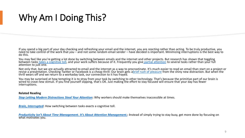If you spend a big part of your day checking and refreshing your email and the internet, you are *reacting* rather than acting. To be truly productive, you need to take control of the work that *you* – and not some random email sender – have decided is important. Minimizing interruptions is the best way to do this.

You may feel like you're getting a lot done by switching between emails and the internet and other projects. But research has shown that toggling between tasks [takes a cognitive toll](https://www.psychologytoday.com/us/blog/brain-wise/201209/the-true-cost-multi-tasking), and your work suffers because of it. Frequently you give [partial attention](https://lindastone.net/qa/continuous-partial-attention/) to several tasks rather than your full attention to just one.

Not only that, but we are actually attracted to email and the internet as a way to procrastinate. It's much easier to read an email than start on a project or revise a presentation. Checking Twitter or Facebook is a cheap thrill: Our brain gets abrief [rush of pleasure](https://www.theguardian.com/technology/2018/mar/04/has-dopamine-got-us-hooked-on-tech-facebook-apps-addiction) from the shiny new distraction. But when the thrill wears off and we return to a workaday task, our connection to it has frayed.

You may be surprised at how tempting it is to stray from your task by switching to other technology. That's because the primitive part of our brain is wired to crave new stimuli. If you find yourself slipping, that's OK. Just making the effort to stay focused will ensure that your day has fewer interruptions.

#### **Related Reading**

*[Stop Letting Modern Distractions Steal Your Attention](https://www.nytimes.com/2019/03/26/smarter-living/stop-letting-modern-distractions-steal-your-attention.html)***:** Why workers should make themselves inaccessible at times.

*[Brain, Interrupted](https://www.nytimes.com/2013/05/05/opinion/sunday/a-focus-on-distraction.html)***:** How switching between tasks exacts a cognitive toll.

*[Productivity Isn't About Time Management. It's About Attention Management.](https://www.nytimes.com/2019/03/28/smarter-living/productivity-isnt-about-time-management-its-about-attention-management.html):* Instead of simply trying to stay busy, get more done by focusing on what motivates you.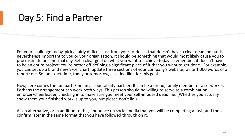### Day 5: Find a Partner

For your challenge today, pick a fairly difficult task from your to-do list that doesn't have a clear deadline but is nevertheless important to you or your organization. It should be something that would most likely cause you to procrastinate on a normal day. Set a clear goal on what you want to achieve today -- remember, it doesn't have to be an entire project: You're better off defining a significant piece of it that you want to get done. For example, you can set up a brand new Excel chart; update three sections of your company's website; write 1,000 words of a report; etc. Set an exact time, today or tomorrow, as a deadline for this goal.

Now, here comes the fun part. Find an accountability partner: It can be a friend, family member or a co-worker. Perhaps the arrangement can work both ways. This person should be willing to serve as a combination enforcer/cheerleader, checking in to make sure you meet your self-imposed deadline. (Whether you actually show them your finished work is up to you, but please don't lie.)

As an alternative, or in addition to this, announce on social media that you will be completing a task, and then confirm later in the same format that you have followed through on it.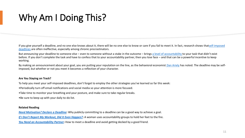[If you give yourself a deadline, and no one else knows about it, there will be no one else to know or care if you fail to meet it. In fact, research shows thatself-imposed](https://www.fastcompany.com/3026895/self-imposed-deadlines-dont-stop-procrastination-heres-what-might) deadlines are often ineffective, especially among chronic procrastinators.

But *announcing* your deadline to someone else – even to someone without a stake in the outcome – brings [a level of accountability](https://www.inc.com/jessica-stillman/what-beats-a-mentor-an-accountability-partner.html) to your task that didn't exist before. If you don't complete the task and have to confess that to your accountability partner, then you lose face – and that can be a powerful incentive to keep working.

By making an announcement about your goal, you are putting your reputation on the line, as the behavioral economist [Dan Ariely](http://danariely.com/all-about-dan/) has noted. The deadline may be selfimposed, but whether or not you meet it becomes a reflection of your character.

#### **Are You Staying on Track?**

To help you meet your self-imposed deadlines, don't forget to employ the other strategies you've learned so far this week:

- •Periodically turn off email notifications and social media so your attention is more focused.
- •Take time to monitor your breathing and your posture, and make sure to take regular breaks.
- •Be sure to keep up with your daily to-do list.

#### **Related Reading**

*[Need Motivation? Declare a Deadline](https://www.nytimes.com/2013/04/21/jobs/deadline-pressure-the-great-motivator.html)***:** Why publicly committing to a deadline can be a good way to achieve a goal.

*[If I Don't Report My Workout, Did It Even Happen?](https://www.nytimes.com/2017/07/14/opinion/sunday/if-i-dont-report-my-workout-did-it-even-happen.html)***:** A woman uses accountability groups to hold her feet to the fire.

*[You Need an Accountability Partner](https://www.nytimes.com/2017/10/23/your-money/you-need-an-accountability-partner-or-a-punch-in-the-nose.html)***:** How to meet a deadline and avoid getting decked by a good friend.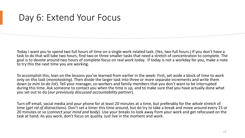### Day 6: Extend Your Focus

Today I want you to spend two full hours of time on a single work-related task. (Yes, two full hours.) If you don't have a task to do that will take two hours, find two or three smaller tasks that need a stretch of concentration to complete. The goal is to devote around two hours of complete focus on real work today. If today is not a workday for you, make a note to try this the next time you are working.

To accomplish this, lean on the lessons you've learned from earlier in the week: First, set aside a block of time to work only on this task (*monotasking*). Then divide the larger task into three or more separate increments and write them down (*a mini to-do list*). Tell your manager, co-workers and family members that you don't want to be interrupted during this time. Ask someone to contact you when the time is up, and to make sure that you have actually done what you set out to do (*our previously discussed accountability partner*).

Turn off email, social media and your phone for at least 20 minutes at a time, but preferably for the *whole* stretch of time (*get rid of distractions*). Don't set a timer this time around, but do try to take a break and move around every 15 or 20 minutes or so (*connect your mind and body*). Use your breaks to look away from your work and get refocused on the task at hand. As you work, don't focus on quality. Just live in the moment and *work*.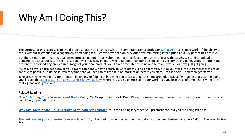The purpose of this exercise is to avoid procrastination and achieve what the computer science professor [Cal Newport](https://www.calnewport.com/about/)calls deep work – "the ability to focus without distraction on a cognitively demanding task." As we have seen on previous days, minimizing interruptions is a key part of this process.

But there's more to it than that. So often, procrastination is really about fear of imperfection or outright failure. That's why we tend to offload a demanding task to our future self – a self that will magically be more well-equipped than our present self to get something done. Working hard in the present means shedding an idealized image of your final product. You'll have time later to shine and buff your work. For now, just get going.

It's easy to avoid a project because you simply don't know how to start. To ward off this kind of paralysis, divide your task into increments that are as specific as possible. In doing so, you may find that you need to ask for help or information before you start. Get that help – and then get started.

Take breaks when you feel your attention beginning to falter. I didn't want you to set a timer this time around, because I'm hoping that at some point you'll reach that [special state of consciousness known as flow](https://www.nytimes.com/1990/03/18/books/contentment-is-hard-work.html), where you are so engrossed in your work that you lose track of time. That's when the really great work gets done.

#### **Related Reading**

*[How to Actually, Truly Focus on What You're Doing](https://www.nytimes.com/2019/01/13/smarter-living/how-to-actually-truly-focus-on-what-youre-doing.html)***:** Cal Newport, author of "Deep Work, discusses the importance of focusing without distraction on a cognitively demanding task.

*[Why You Procrastinate. \(It Has Nothing to do With Self-Control.\)](https://www.nytimes.com/2019/03/25/smarter-living/why-you-procrastinate-it-has-nothing-to-do-with-self-control.html)***:** You aren't being lazy when you procrastinate, but you are being irrational.

*[The real reasons you procrastinate](https://www.washingtonpost.com/news/wonk/wp/2016/04/27/why-you-cant-help-read-this-article-about-procrastination-instead-of-doing-your-job/) — and how to stop***:** Find out how procrastination is actually "a coping mechanism gone awry." (From The Washington Post)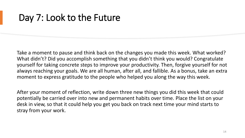### Day 7: Look to the Future

Take a moment to pause and think back on the changes you made this week. What worked? What didn't? Did you accomplish something that you didn't think you would? Congratulate yourself for taking concrete steps to improve your productivity. Then, forgive yourself for not always reaching your goals. We are all human, after all, and fallible. As a bonus, take an extra moment to express gratitude to the people who helped you along the way this week.

After your moment of reflection, write down three new things you did this week that could potentially be carried over into new and permanent habits over time. Place the list on your desk in view, so that it could help you get you back on track next time your mind starts to stray from your work.